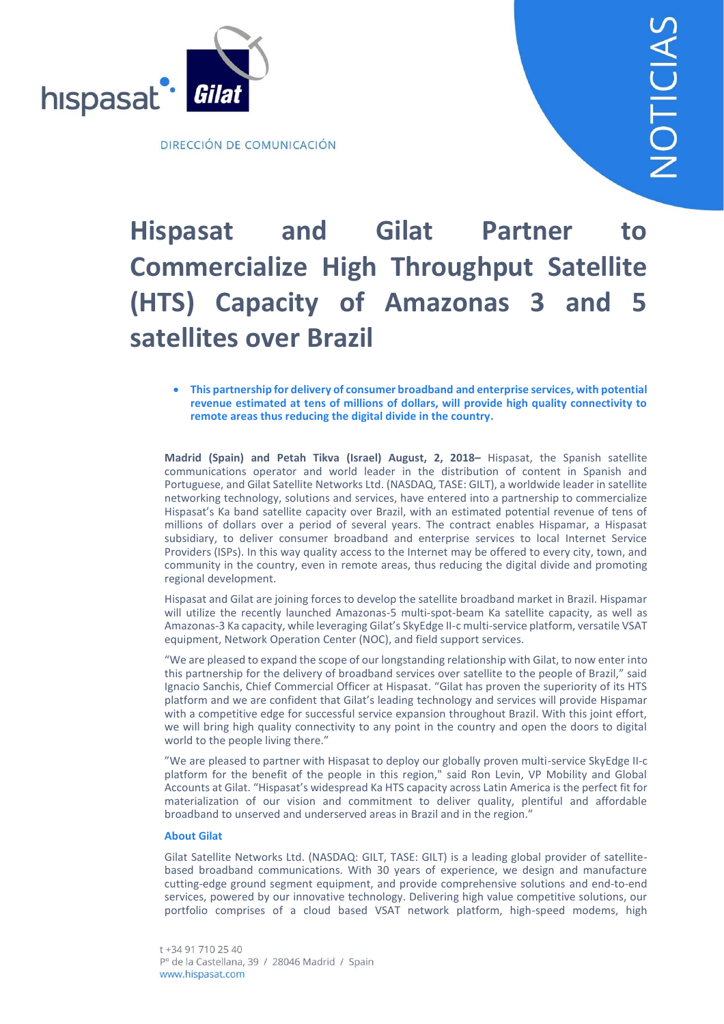

# **Hispasat and Gilat Partner to Commercialize High Throughput Satellite (HTS) Capacity of Amazonas 3 and 5 satellites over Brazil**

 **This partnership for delivery of consumer broadband and enterprise services, with potential revenue estimated at tens of millions of dollars, will provide high quality connectivity to remote areas thus reducing the digital divide in the country.**

**Madrid (Spain) and Petah Tikva (Israel) August, 2, 2018–** Hispasat, the Spanish satellite communications operator and world leader in the distribution of content in Spanish and Portuguese, and Gilat Satellite Networks Ltd. (NASDAQ, TASE: GILT), a worldwide leader in satellite networking technology, solutions and services, have entered into a partnership to commercialize Hispasat's Ka band satellite capacity over Brazil, with an estimated potential revenue of tens of millions of dollars over a period of several years. The contract enables Hispamar, a Hispasat subsidiary, to deliver consumer broadband and enterprise services to local Internet Service Providers (ISPs). In this way quality access to the Internet may be offered to every city, town, and community in the country, even in remote areas, thus reducing the digital divide and promoting regional development.

Hispasat and Gilat are joining forces to develop the satellite broadband market in Brazil. Hispamar will utilize the recently launched Amazonas-5 multi-spot-beam Ka satellite capacity, as well as Amazonas-3 Ka capacity, while leveraging Gilat's SkyEdge II-c multi-service platform, versatile VSAT equipment, Network Operation Center (NOC), and field support services.

"We are pleased to expand the scope of our longstanding relationship with Gilat, to now enter into this partnership for the delivery of broadband services over satellite to the people of Brazil," said Ignacio Sanchis, Chief Commercial Officer at Hispasat. "Gilat has proven the superiority of its HTS platform and we are confident that Gilat's leading technology and services will provide Hispamar with a competitive edge for successful service expansion throughout Brazil. With this joint effort, we will bring high quality connectivity to any point in the country and open the doors to digital world to the people living there."

"We are pleased to partner with Hispasat to deploy our globally proven multi-service SkyEdge II-c platform for the benefit of the people in this region," said Ron Levin, VP Mobility and Global Accounts at Gilat. "Hispasat's widespread Ka HTS capacity across Latin America is the perfect fit for materialization of our vision and commitment to deliver quality, plentiful and affordable broadband to unserved and underserved areas in Brazil and in the region."

#### **About Gilat**

Gilat Satellite Networks Ltd. (NASDAQ: GILT, TASE: GILT) is a leading global provider of satellitebased broadband communications. With 30 years of experience, we design and manufacture cutting-edge ground segment equipment, and provide comprehensive solutions and end-to-end services, powered by our innovative technology. Delivering high value competitive solutions, our portfolio comprises of a cloud based VSAT network platform, high-speed modems, high

t +34 91 710 25 40 Pº de la Castellana, 39 / 28046 Madrid / Spain www.hispasat.com